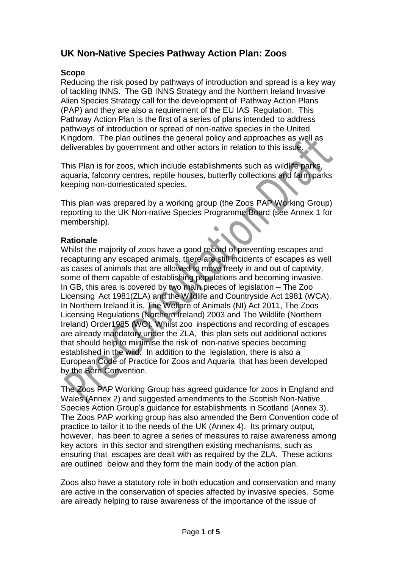# **UK Non-Native Species Pathway Action Plan: Zoos**

# **Scope**

Reducing the risk posed by pathways of introduction and spread is a key way of tackling INNS. The GB INNS Strategy and the Northern Ireland Invasive Alien Species Strategy call for the development of Pathway Action Plans (PAP) and they are also a requirement of the EU IAS Regulation. This Pathway Action Plan is the first of a series of plans intended to address pathways of introduction or spread of non-native species in the United Kingdom. The plan outlines the general policy and approaches as well as deliverables by government and other actors in relation to this issue.

This Plan is for zoos, which include establishments such as wildlife parks, aquaria, falconry centres, reptile houses, butterfly collections and farm parks keeping non-domesticated species.

This plan was prepared by a working group (the Zoos PAP Working Group) reporting to the UK Non-native Species Programme Board (see Annex 1 for membership).

# **Rationale**

Whilst the majority of zoos have a good record of preventing escapes and recapturing any escaped animals, there are still incidents of escapes as well as cases of animals that are allowed to move freely in and out of captivity, some of them capable of establishing populations and becoming invasive. In GB, this area is covered by two main pieces of legislation – The Zoo Licensing Act 1981(ZLA) and the Wildlife and Countryside Act 1981 (WCA). In Northern Ireland it is, The Welfare of Animals (NI) Act 2011, The Zoos Licensing Regulations (Northern Ireland) 2003 and The Wildlife (Northern Ireland) Order1985 (WO). Whilst zoo inspections and recording of escapes are already mandatory under the ZLA, this plan sets out additional actions that should help to minimise the risk of non-native species becoming established in the wild. In addition to the legislation, there is also a European Code of Practice for Zoos and Aquaria that has been developed by the Bern Convention.

The Zoos PAP Working Group has agreed guidance for zoos in England and Wales (Annex 2) and suggested amendments to the Scottish Non-Native Species Action Group's guidance for establishments in Scotland (Annex 3). The Zoos PAP working group has also amended the Bern Convention code of practice to tailor it to the needs of the UK (Annex 4). Its primary output, however, has been to agree a series of measures to raise awareness among key actors in this sector and strengthen existing mechanisms, such as ensuring that escapes are dealt with as required by the ZLA. These actions are outlined below and they form the main body of the action plan.

Zoos also have a statutory role in both education and conservation and many are active in the conservation of species affected by invasive species. Some are already helping to raise awareness of the importance of the issue of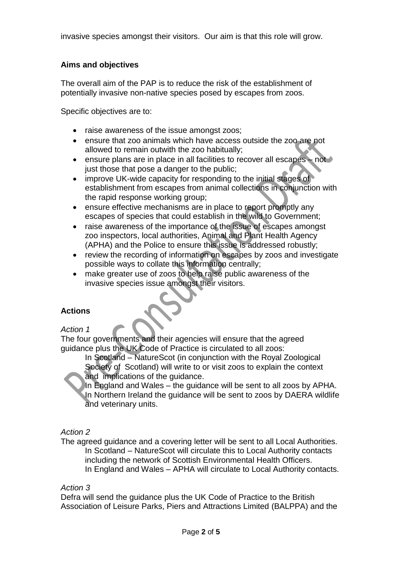invasive species amongst their visitors. Our aim is that this role will grow.

# **Aims and objectives**

The overall aim of the PAP is to reduce the risk of the establishment of potentially invasive non-native species posed by escapes from zoos.

Specific objectives are to:

- raise awareness of the issue amongst zoos;
- ensure that zoo animals which have access outside the zoo are not allowed to remain outwith the zoo habitually;
- ensure plans are in place in all facilities to recover all escapes not just those that pose a danger to the public;
- improve UK-wide capacity for responding to the initial stages of establishment from escapes from animal collections in conjunction with the rapid response working group;
- ensure effective mechanisms are in place to report promptly any escapes of species that could establish in the wild to Government;
- raise awareness of the importance of the issue of escapes amongst zoo inspectors, local authorities, Animal and Plant Health Agency (APHA) and the Police to ensure this issue is addressed robustly;
- review the recording of information on escapes by zoos and investigate possible ways to collate this information centrally;
- make greater use of zoos to help raise public awareness of the invasive species issue amongst their visitors.

# **Actions**

#### *Action 1*

The four governments and their agencies will ensure that the agreed guidance plus the UK Code of Practice is circulated to all zoos:

In Scotland – NatureScot (in conjunction with the Royal Zoological Society of Scotland) will write to or visit zoos to explain the context and implications of the guidance.

In England and Wales – the guidance will be sent to all zoos by APHA. In Northern Ireland the guidance will be sent to zoos by DAERA wildlife and veterinary units.

# *Action 2*

The agreed guidance and a covering letter will be sent to all Local Authorities. In Scotland – NatureScot will circulate this to Local Authority contacts including the network of Scottish Environmental Health Officers. In England and Wales – APHA will circulate to Local Authority contacts.

#### *Action 3*

Defra will send the guidance plus the UK Code of Practice to the British Association of Leisure Parks, Piers and Attractions Limited (BALPPA) and the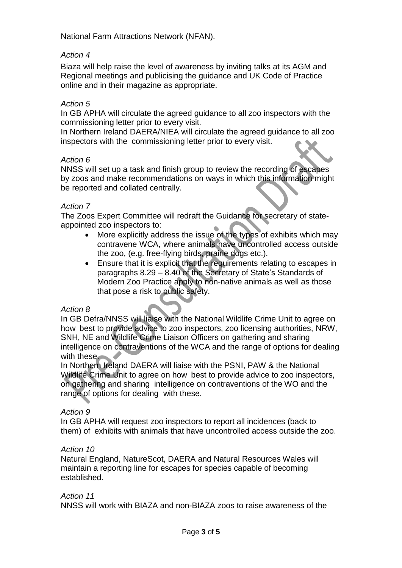National Farm Attractions Network (NFAN).

## *Action 4*

Biaza will help raise the level of awareness by inviting talks at its AGM and Regional meetings and publicising the guidance and UK Code of Practice online and in their magazine as appropriate.

#### *Action 5*

In GB APHA will circulate the agreed guidance to all zoo inspectors with the commissioning letter prior to every visit.

In Northern Ireland DAERA/NIEA will circulate the agreed guidance to all zoo inspectors with the commissioning letter prior to every visit.

#### *Action 6*

NNSS will set up a task and finish group to review the recording of escapes by zoos and make recommendations on ways in which this information might be reported and collated centrally.

#### *Action 7*

The Zoos Expert Committee will redraft the Guidance for secretary of stateappointed zoo inspectors to:

- More explicitly address the issue of the types of exhibits which may contravene WCA, where animals have uncontrolled access outside the zoo, (e.g. free-flying birds, prairie dogs etc.).
- Ensure that it is explicit that the requirements relating to escapes in paragraphs 8.29 – 8.40 of the Secretary of State's Standards of Modern Zoo Practice apply to non-native animals as well as those that pose a risk to public safety.

#### *Action 8*

In GB Defra/NNSS will liaise with the National Wildlife Crime Unit to agree on how best to provide advice to zoo inspectors, zoo licensing authorities, NRW, SNH, NE and Wildlife Crime Liaison Officers on gathering and sharing intelligence on contraventions of the WCA and the range of options for dealing with these.

In Northern Ireland DAERA will liaise with the PSNI, PAW & the National Wildlife Crime Unit to agree on how best to provide advice to zoo inspectors, on gathering and sharing intelligence on contraventions of the WO and the range of options for dealing with these.

#### *Action 9*

In GB APHA will request zoo inspectors to report all incidences (back to them) of exhibits with animals that have uncontrolled access outside the zoo.

#### *Action 10*

Natural England, NatureScot, DAERA and Natural Resources Wales will maintain a reporting line for escapes for species capable of becoming established.

#### *Action 11*

NNSS will work with BIAZA and non-BIAZA zoos to raise awareness of the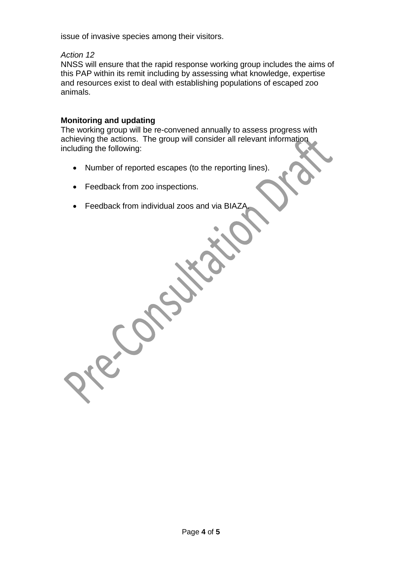issue of invasive species among their visitors.

## *Action 12*

NNSS will ensure that the rapid response working group includes the aims of this PAP within its remit including by assessing what knowledge, expertise and resources exist to deal with establishing populations of escaped zoo animals.

## **Monitoring and updating**

The working group will be re-convened annually to assess progress with achieving the actions. The group will consider all relevant information including the following:

- Number of reported escapes (to the reporting lines).
- Feedback from zoo inspections.
- Feedback from individual zoos and via BIAZ/